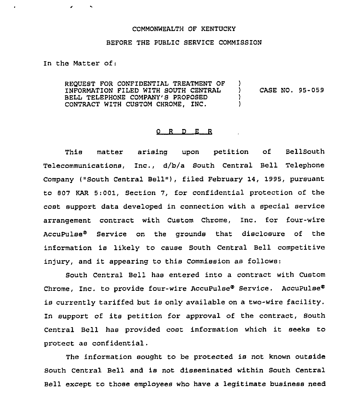## COMMONWEALTH OF KENTUCKY

## BEFORE THE PUBLIC SERVICE COMMISSION

In the Matter of:

REQUEST FOR CONFIDENTIAL TREATMENT OF INFORMATION FILED WITH SOUTH CENTRAL BELL TELEPHONE COMPANY'S PROPOSED CONTRACT WITH CUSTOM CHROME, INC. )<br>) ) CASE NO. 95-059 ) )

## 0 R <sup>D</sup> E R

This matter arising upon petition of BellSouth Telecommunications, Inc., d/b/a South Central Bell Telephone Company ("South Central Bell"), filed February 14, 1995, pursuant to 807 KAR 5:001, Section 7, for confidential protection of the cost support data developed in connection with a special service arrangement contract with Custom Chrome, Inc. for four-wire AccuPulse<sup>®</sup> Service on the grounds that disclosure of the information is likely to cause South Central Bell competitive injury, and it appearing to this Commission as follows:

South Central Bell has entered into a contract with Custom Chrome, Inc. to provide four-wire AccuPulse® Service. AccuPulse® is currently tariffed but is only available on a two-wire facility. In support of its petition for approval of the contract, South Central Bell has provided cost information which it seeks to protect as confidential.

The information sought to be protected is not known outside South Central Bell and is not disseminated within South Central Bell except to those employees who have a legitimate business need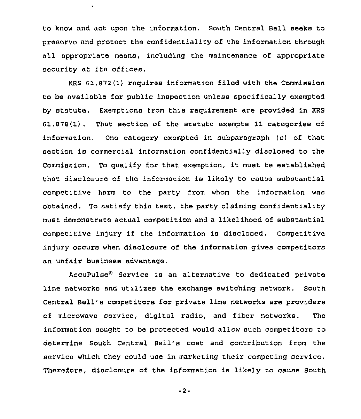to know and act upon the information. South Central Bell seeks to prasorvo and protect the confidentiality of the information through all appropriate means, including the maintenance of appropriate security at its offices.

KRS 61,872(1) requires information filed with the Commission to be available for public inspection unless specifically exempted by statute. Exemptions from this requirement are provided in KRS 81.878(1). That section of the statute exempts 11 categories of information. One category exempted in subparagraph (c) of that section is commercial information confidentially disclosed to the Commission. To qualify for that exemption, it must be established that disclosure of the information is likely to cause substantial competitive harm to the party from whom the information was obtained. To satisfy this test, the party claiming confidentiality must demonstrate actual competition and a likelihood of substantial competitive injury if the information is disclosed. Competitive injury occurs when disclosure of the information gives competitors an unfair business advantage,

AccuPulse<sup>®</sup> Service is an alternative to dedicated private line networks and utilizes the exchange switching network. South Central Bell's competitors for private line networks are providers of microwave service, digital radio, and fiber networks. The information sought to be protected would allow such competitors to determine South Central Bell's cost and contribution from the service which they could use in marketing their competing service. Therefore, disclosure of the information is likely to cause South

 $-2-$